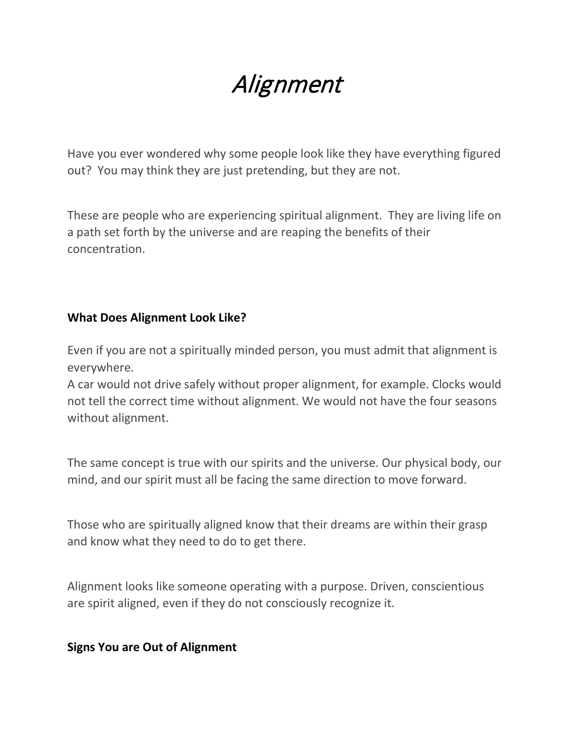# Alignment

Have you ever wondered why some people look like they have everything figured out? You may think they are just pretending, but they are not.

These are people who are experiencing spiritual alignment. They are living life on a path set forth by the universe and are reaping the benefits of their concentration.

#### **What Does Alignment Look Like?**

Even if you are not a spiritually minded person, you must admit that alignment is everywhere.

A car would not drive safely without proper alignment, for example. Clocks would not tell the correct time without alignment. We would not have the four seasons without alignment.

The same concept is true with our spirits and the universe. Our physical body, our mind, and our spirit must all be facing the same direction to move forward.

Those who are spiritually aligned know that their dreams are within their grasp and know what they need to do to get there.

Alignment looks like someone operating with a purpose. Driven, conscientious are spirit aligned, even if they do not consciously recognize it.

#### **Signs You are Out of Alignment**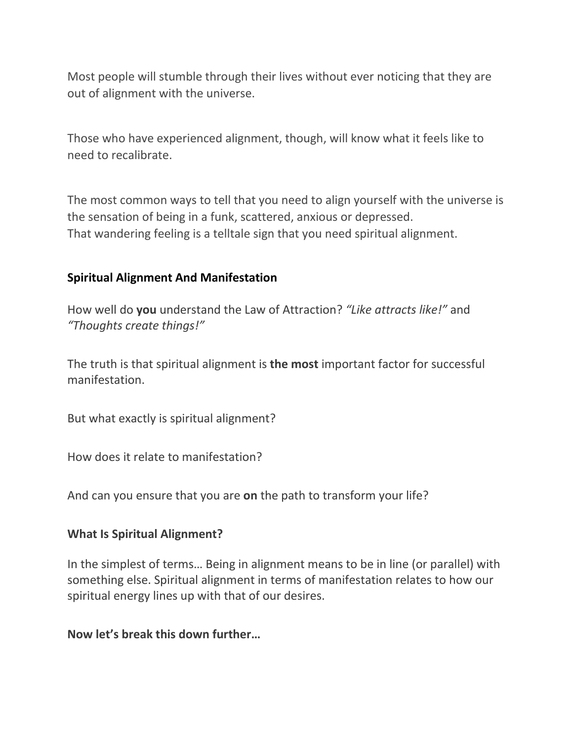Most people will stumble through their lives without ever noticing that they are out of alignment with the universe.

Those who have experienced alignment, though, will know what it feels like to need to recalibrate.

The most common ways to tell that you need to align yourself with the universe is the sensation of being in a funk, scattered, anxious or depressed. That wandering feeling is a telltale sign that you need spiritual alignment.

#### **Spiritual Alignment And Manifestation**

How well do **you** understand the Law of Attraction? *"Like attracts like!"* and *"Thoughts create things!"*

The truth is that spiritual alignment is **the most** important factor for successful manifestation.

But what exactly is spiritual alignment?

How does it relate to manifestation?

And can you ensure that you are **on** the path to transform your life?

#### **What Is Spiritual Alignment?**

In the simplest of terms… Being in alignment means to be in line (or parallel) with something else. Spiritual alignment in terms of manifestation relates to how our spiritual energy lines up with that of our desires.

**Now let's break this down further…**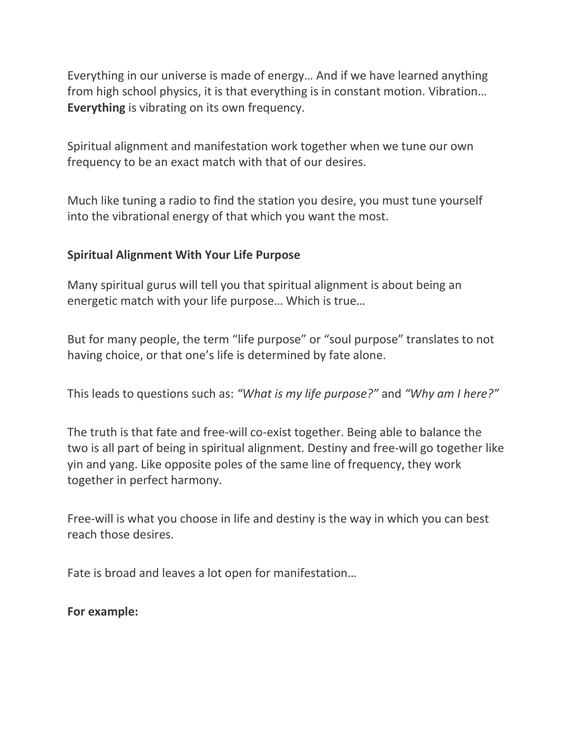Everything in our universe is made of energy… And if we have learned anything from high school physics, it is that everything is in constant motion. Vibration… **Everything** is vibrating on its own frequency.

Spiritual alignment and manifestation work together when we tune our own frequency to be an exact match with that of our desires.

Much like tuning a radio to find the station you desire, you must tune yourself into the vibrational energy of that which you want the most.

#### **Spiritual Alignment With Your Life Purpose**

Many spiritual gurus will tell you that spiritual alignment is about being an energetic match with your life purpose… Which is true…

But for many people, the term "life purpose" or "soul purpose" translates to not having choice, or that one's life is determined by fate alone.

This leads to questions such as: *"What is my life purpose?"* and *"Why am I here?"*

The truth is that fate and free-will co-exist together. Being able to balance the two is all part of being in spiritual alignment. Destiny and free-will go together like yin and yang. Like opposite poles of the same line of frequency, they work together in perfect harmony.

Free-will is what you choose in life and destiny is the way in which you can best reach those desires.

Fate is broad and leaves a lot open for manifestation…

**For example:**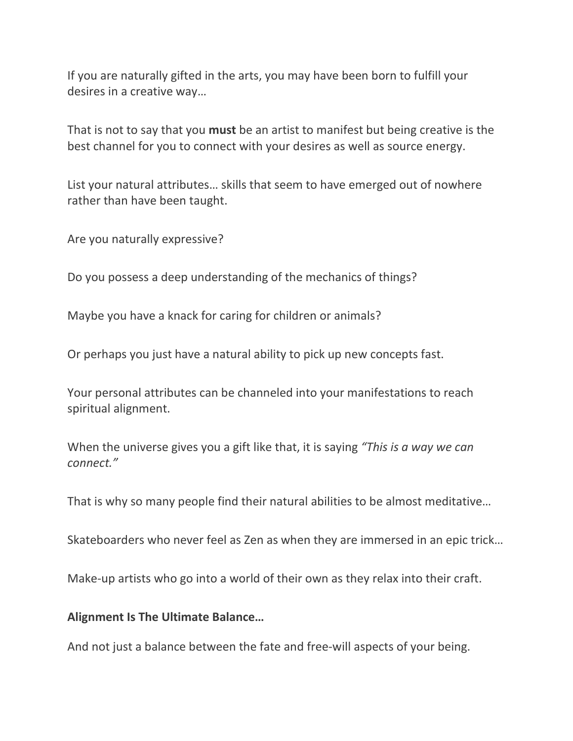If you are naturally gifted in the arts, you may have been born to fulfill your desires in a creative way…

That is not to say that you **must** be an artist to manifest but being creative is the best channel for you to connect with your desires as well as source energy.

List your natural attributes… skills that seem to have emerged out of nowhere rather than have been taught.

Are you naturally expressive?

Do you possess a deep understanding of the mechanics of things?

Maybe you have a knack for caring for children or animals?

Or perhaps you just have a natural ability to pick up new concepts fast.

Your personal attributes can be channeled into your manifestations to reach spiritual alignment.

When the universe gives you a gift like that, it is saying *"This is a way we can connect."*

That is why so many people find their natural abilities to be almost meditative…

Skateboarders who never feel as Zen as when they are immersed in an epic trick…

Make-up artists who go into a world of their own as they relax into their craft.

**Alignment Is The Ultimate Balance…**

And not just a balance between the fate and free-will aspects of your being.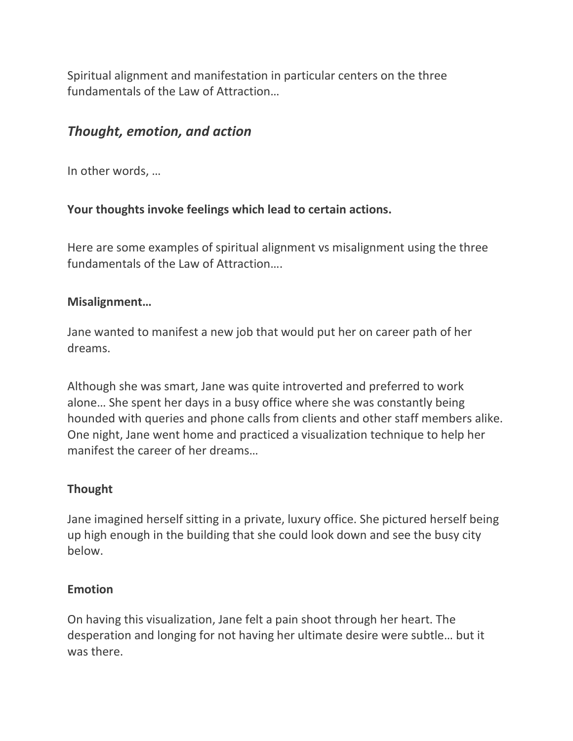Spiritual alignment and manifestation in particular centers on the three fundamentals of the Law of Attraction…

# *Thought, emotion, and action*

In other words, …

#### **Your thoughts invoke feelings which lead to certain actions.**

Here are some examples of spiritual alignment vs misalignment using the three fundamentals of the Law of Attraction….

#### **Misalignment…**

Jane wanted to manifest a new job that would put her on career path of her dreams.

Although she was smart, Jane was quite introverted and preferred to work alone… She spent her days in a busy office where she was constantly being hounded with queries and phone calls from clients and other staff members alike. One night, Jane went home and practiced a visualization technique to help her manifest the career of her dreams…

#### **Thought**

Jane imagined herself sitting in a private, luxury office. She pictured herself being up high enough in the building that she could look down and see the busy city below.

#### **Emotion**

On having this visualization, Jane felt a pain shoot through her heart. The desperation and longing for not having her ultimate desire were subtle… but it was there.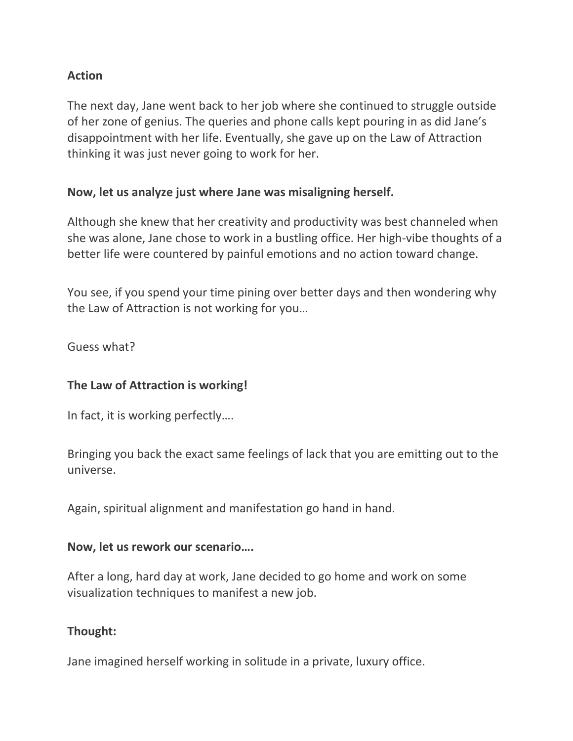#### **Action**

The next day, Jane went back to her job where she continued to struggle outside of her zone of genius. The queries and phone calls kept pouring in as did Jane's disappointment with her life. Eventually, she gave up on the Law of Attraction thinking it was just never going to work for her.

#### **Now, let us analyze just where Jane was misaligning herself.**

Although she knew that her creativity and productivity was best channeled when she was alone, Jane chose to work in a bustling office. Her high-vibe thoughts of a better life were countered by painful emotions and no action toward change.

You see, if you spend your time pining over better days and then wondering why the Law of Attraction is not working for you…

Guess what?

## **The Law of Attraction is working!**

In fact, it is working perfectly….

Bringing you back the exact same feelings of lack that you are emitting out to the universe.

Again, spiritual alignment and manifestation go hand in hand.

#### **Now, let us rework our scenario….**

After a long, hard day at work, Jane decided to go home and work on some visualization techniques to manifest a new job.

#### **Thought:**

Jane imagined herself working in solitude in a private, luxury office.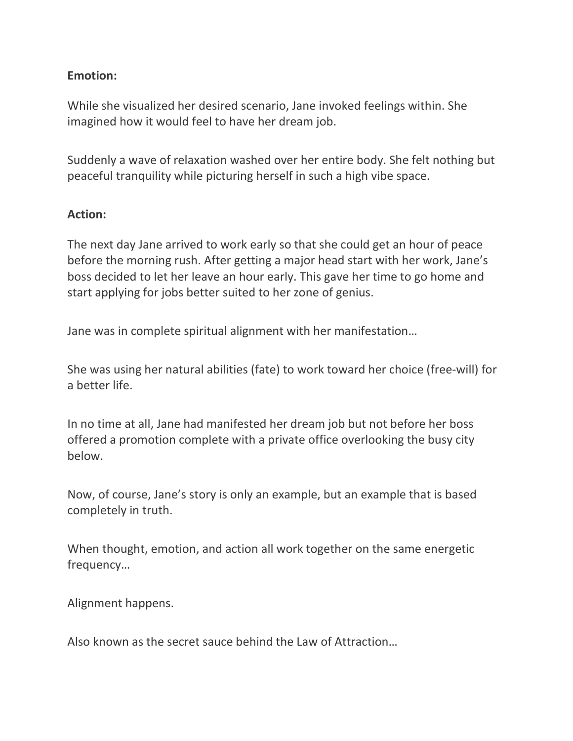#### **Emotion:**

While she visualized her desired scenario, Jane invoked feelings within. She imagined how it would feel to have her dream job.

Suddenly a wave of relaxation washed over her entire body. She felt nothing but peaceful tranquility while picturing herself in such a high vibe space.

#### **Action:**

The next day Jane arrived to work early so that she could get an hour of peace before the morning rush. After getting a major head start with her work, Jane's boss decided to let her leave an hour early. This gave her time to go home and start applying for jobs better suited to her zone of genius.

Jane was in complete spiritual alignment with her manifestation…

She was using her natural abilities (fate) to work toward her choice (free-will) for a better life.

In no time at all, Jane had manifested her dream job but not before her boss offered a promotion complete with a private office overlooking the busy city below.

Now, of course, Jane's story is only an example, but an example that is based completely in truth.

When thought, emotion, and action all work together on the same energetic frequency…

Alignment happens.

Also known as the secret sauce behind the Law of Attraction…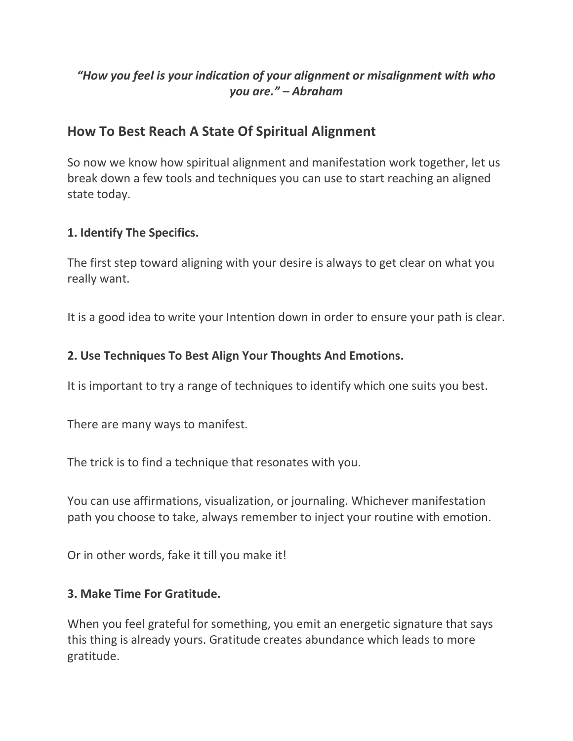## *"How you feel is your indication of your alignment or misalignment with who you are." – Abraham*

# **How To Best Reach A State Of Spiritual Alignment**

So now we know how spiritual alignment and manifestation work together, let us break down a few tools and techniques you can use to start reaching an aligned state today.

#### **1. Identify The Specifics.**

The first step toward aligning with your desire is always to get clear on what you really want.

It is a good idea to write your Intention down in order to ensure your path is clear.

#### **2. Use Techniques To Best Align Your Thoughts And Emotions.**

It is important to try a range of techniques to identify which one suits you best.

There are many ways to manifest.

The trick is to find a technique that resonates with you.

You can use affirmations, visualization, or journaling. Whichever manifestation path you choose to take, always remember to inject your routine with emotion.

Or in other words, fake it till you make it!

#### **3. Make Time For Gratitude.**

When you feel grateful for something, you emit an energetic signature that says this thing is already yours. Gratitude creates abundance which leads to more gratitude.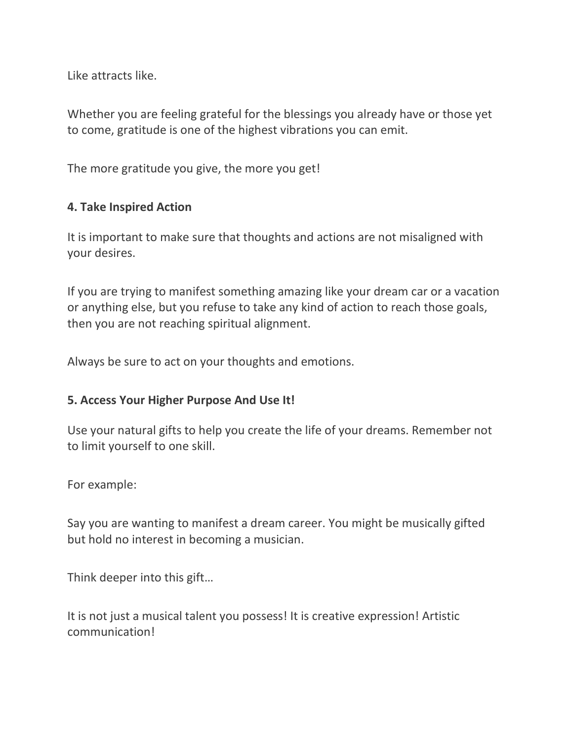Like attracts like.

Whether you are feeling grateful for the blessings you already have or those yet to come, gratitude is one of the highest vibrations you can emit.

The more gratitude you give, the more you get!

#### **4. Take Inspired Action**

It is important to make sure that thoughts and actions are not misaligned with your desires.

If you are trying to manifest something amazing like your dream car or a vacation or anything else, but you refuse to take any kind of action to reach those goals, then you are not reaching spiritual alignment.

Always be sure to act on your thoughts and emotions.

#### **5. Access Your Higher Purpose And Use It!**

Use your natural gifts to help you create the life of your dreams. Remember not to limit yourself to one skill.

For example:

Say you are wanting to manifest a dream career. You might be musically gifted but hold no interest in becoming a musician.

Think deeper into this gift…

It is not just a musical talent you possess! It is creative expression! Artistic communication!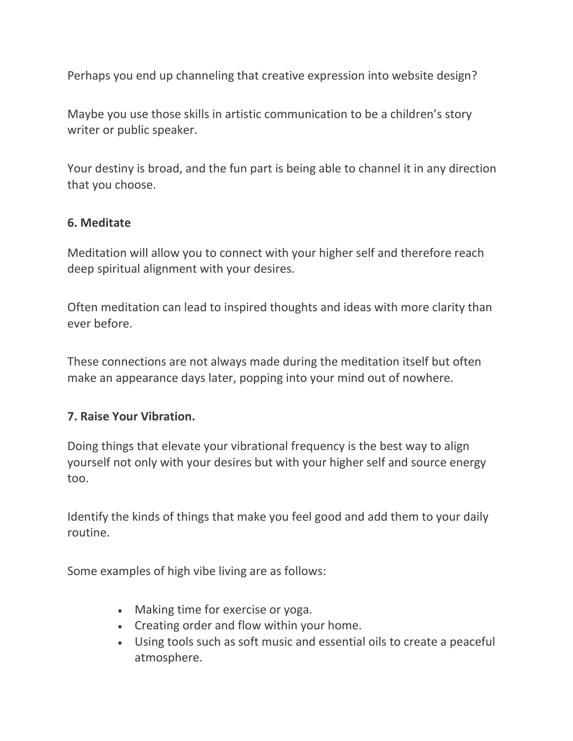Perhaps you end up channeling that creative expression into website design?

Maybe you use those skills in artistic communication to be a children's story writer or public speaker.

Your destiny is broad, and the fun part is being able to channel it in any direction that you choose.

#### **6. Meditate**

Meditation will allow you to connect with your higher self and therefore reach deep spiritual alignment with your desires.

Often meditation can lead to inspired thoughts and ideas with more clarity than ever before.

These connections are not always made during the meditation itself but often make an appearance days later, popping into your mind out of nowhere.

## **7. Raise Your Vibration.**

Doing things that elevate your vibrational frequency is the best way to align yourself not only with your desires but with your higher self and source energy too.

Identify the kinds of things that make you feel good and add them to your daily routine.

Some examples of high vibe living are as follows:

- Making time for exercise or yoga.
- Creating order and flow within your home.
- Using tools such as soft music and essential oils to create a peaceful atmosphere.